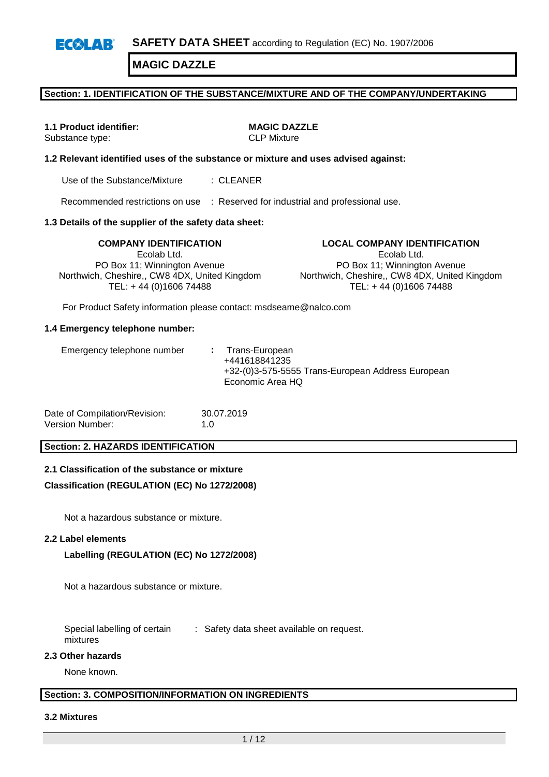#### **Section: 1. IDENTIFICATION OF THE SUBSTANCE/MIXTURE AND OF THE COMPANY/UNDERTAKING**

# **1.1 Product identifier: MAGIC DAZZLE**

Substance type: CLP Mixture

#### **1.2 Relevant identified uses of the substance or mixture and uses advised against:**

Use of the Substance/Mixture : CLEANER

Recommended restrictions on use : Reserved for industrial and professional use.

#### **1.3 Details of the supplier of the safety data sheet:**

Ecolab Ltd. PO Box 11; Winnington Avenue Northwich, Cheshire,, CW8 4DX, United Kingdom TEL: + 44 (0)1606 74488

**COMPANY IDENTIFICATION LOCAL COMPANY IDENTIFICATION** Ecolab Ltd. PO Box 11; Winnington Avenue Northwich, Cheshire,, CW8 4DX, United Kingdom TEL: + 44 (0)1606 74488

For Product Safety information please contact: msdseame@nalco.com

#### **1.4 Emergency telephone number:**

| Date of Compilation/Revision: | 30.07.2019 |
|-------------------------------|------------|
| Version Number:               | 1.0        |

#### **Section: 2. HAZARDS IDENTIFICATION**

#### **2.1 Classification of the substance or mixture**

#### **Classification (REGULATION (EC) No 1272/2008)**

Not a hazardous substance or mixture.

#### **2.2 Label elements**

#### **Labelling (REGULATION (EC) No 1272/2008)**

Not a hazardous substance or mixture.

Special labelling of certain mixtures : Safety data sheet available on request.

#### **2.3 Other hazards**

None known.

#### **Section: 3. COMPOSITION/INFORMATION ON INGREDIENTS**

#### **3.2 Mixtures**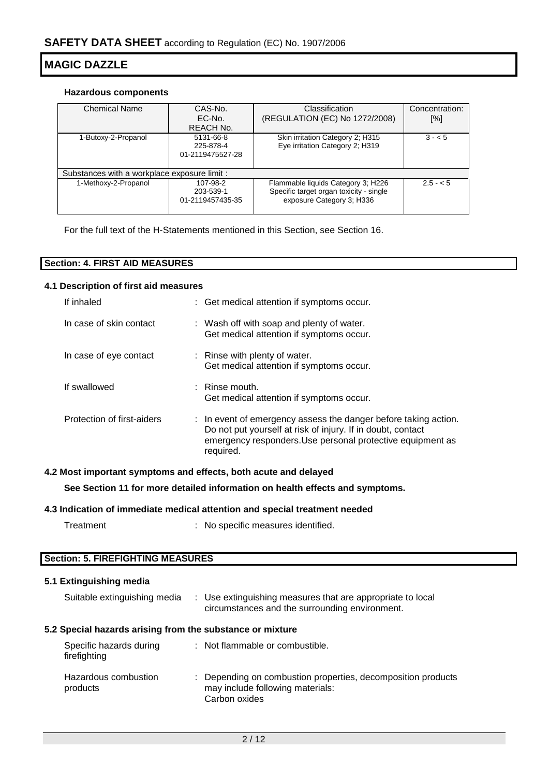#### **Hazardous components**

| <b>Chemical Name</b>                         | CAS-No.          | Classification                          | Concentration: |
|----------------------------------------------|------------------|-----------------------------------------|----------------|
|                                              | EC-No.           | (REGULATION (EC) No 1272/2008)          | [%]            |
|                                              | <b>REACH No.</b> |                                         |                |
| 1-Butoxy-2-Propanol                          | 5131-66-8        | Skin irritation Category 2; H315        | $3 - 5$        |
|                                              | 225-878-4        | Eye irritation Category 2; H319         |                |
|                                              | 01-2119475527-28 |                                         |                |
|                                              |                  |                                         |                |
| Substances with a workplace exposure limit : |                  |                                         |                |
| 1-Methoxy-2-Propanol                         | 107-98-2         | Flammable liquids Category 3; H226      | $2.5 - 5$      |
|                                              | 203-539-1        | Specific target organ toxicity - single |                |
|                                              | 01-2119457435-35 | exposure Category 3; H336               |                |
|                                              |                  |                                         |                |

For the full text of the H-Statements mentioned in this Section, see Section 16.

| <b>Section: 4. FIRST AID MEASURES</b> |  |
|---------------------------------------|--|

## **4.1 Description of first aid measures**

| If inhaled                 | : Get medical attention if symptoms occur.                                                                                                                                                                |
|----------------------------|-----------------------------------------------------------------------------------------------------------------------------------------------------------------------------------------------------------|
| In case of skin contact    | : Wash off with soap and plenty of water.<br>Get medical attention if symptoms occur.                                                                                                                     |
| In case of eye contact     | : Rinse with plenty of water.<br>Get medical attention if symptoms occur.                                                                                                                                 |
| If swallowed               | $\therefore$ Rinse mouth.<br>Get medical attention if symptoms occur.                                                                                                                                     |
| Protection of first-aiders | : In event of emergency assess the danger before taking action.<br>Do not put yourself at risk of injury. If in doubt, contact<br>emergency responders. Use personal protective equipment as<br>required. |

# **4.2 Most important symptoms and effects, both acute and delayed**

**See Section 11 for more detailed information on health effects and symptoms.**

## **4.3 Indication of immediate medical attention and special treatment needed**

| Treatment | : No specific measures identified. |  |
|-----------|------------------------------------|--|
|           |                                    |  |

# **Section: 5. FIREFIGHTING MEASURES**

# **5.1 Extinguishing media**

| Suitable extinguishing media                              | : Use extinguishing measures that are appropriate to local<br>circumstances and the surrounding environment. |
|-----------------------------------------------------------|--------------------------------------------------------------------------------------------------------------|
| 5.2 Special hazards arising from the substance or mixture |                                                                                                              |
| Specific hazards during<br>firefighting                   | : Not flammable or combustible.                                                                              |
| Hazardous combustion<br>products                          | Depending on combustion properties, decomposition products<br>may include following materials:               |

Carbon oxides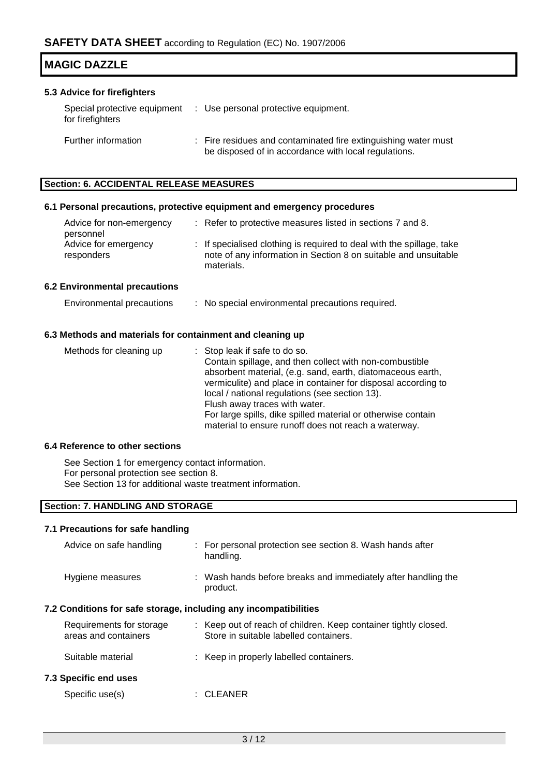| <b>IMAGIC DAZZLE</b>        |                                                                   |
|-----------------------------|-------------------------------------------------------------------|
| 5.3 Advice for firefighters |                                                                   |
| for firefighters            | Special protective equipment : Use personal protective equipment. |

| Further information | : Fire residues and contaminated fire extinguishing water must |
|---------------------|----------------------------------------------------------------|
|                     | be disposed of in accordance with local regulations.           |

#### **Section: 6. ACCIDENTAL RELEASE MEASURES**

#### **6.1 Personal precautions, protective equipment and emergency procedures**

| Advice for non-emergency<br>personnel | : Refer to protective measures listed in sections 7 and 8.                                                                                             |
|---------------------------------------|--------------------------------------------------------------------------------------------------------------------------------------------------------|
| Advice for emergency<br>responders    | : If specialised clothing is required to deal with the spillage, take<br>note of any information in Section 8 on suitable and unsuitable<br>materials. |
| ta da aman an talun an an an tan a    |                                                                                                                                                        |

# **6.2 Environmental precautions**

| Environmental precautions | No special environmental precautions required. |
|---------------------------|------------------------------------------------|
|---------------------------|------------------------------------------------|

#### **6.3 Methods and materials for containment and cleaning up**

| Methods for cleaning up | : Stop leak if safe to do so.                                 |
|-------------------------|---------------------------------------------------------------|
|                         | Contain spillage, and then collect with non-combustible       |
|                         | absorbent material, (e.g. sand, earth, diatomaceous earth,    |
|                         | vermiculite) and place in container for disposal according to |
|                         | local / national regulations (see section 13).                |
|                         | Flush away traces with water.                                 |
|                         | For large spills, dike spilled material or otherwise contain  |
|                         | material to ensure runoff does not reach a waterway.          |

## **6.4 Reference to other sections**

See Section 1 for emergency contact information. For personal protection see section 8. See Section 13 for additional waste treatment information.

## **Section: 7. HANDLING AND STORAGE**

#### **7.1 Precautions for safe handling**

| Advice on safe handling                                          |  | : For personal protection see section 8. Wash hands after<br>handling.                                    |  |  |  |
|------------------------------------------------------------------|--|-----------------------------------------------------------------------------------------------------------|--|--|--|
| Hygiene measures                                                 |  | : Wash hands before breaks and immediately after handling the<br>product.                                 |  |  |  |
| 7.2 Conditions for safe storage, including any incompatibilities |  |                                                                                                           |  |  |  |
| Requirements for storage<br>areas and containers                 |  | : Keep out of reach of children. Keep container tightly closed.<br>Store in suitable labelled containers. |  |  |  |
| Suitable material                                                |  | : Keep in properly labelled containers.                                                                   |  |  |  |
| 7.3 Specific end uses                                            |  |                                                                                                           |  |  |  |
| Specific use(s)                                                  |  | :CLEANER                                                                                                  |  |  |  |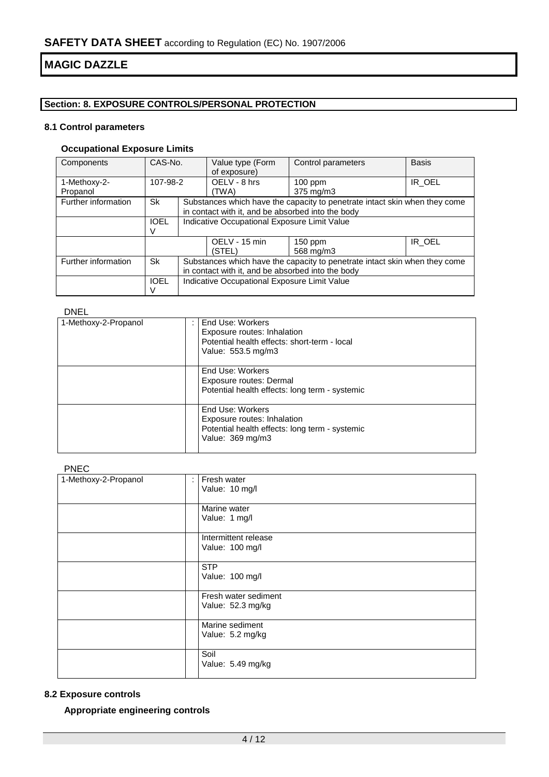# **Section: 8. EXPOSURE CONTROLS/PERSONAL PROTECTION**

# **8.1 Control parameters**

# **Occupational Exposure Limits**

| Components                | CAS-No.     |                                                                            | Value type (Form<br>of exposure)                                           | Control parameters | <b>Basis</b> |  |
|---------------------------|-------------|----------------------------------------------------------------------------|----------------------------------------------------------------------------|--------------------|--------------|--|
| 1-Methoxy-2-              | 107-98-2    |                                                                            | OELV - 8 hrs                                                               | $100$ ppm          | IR OEL       |  |
| Propanol                  |             |                                                                            | (TWA)                                                                      | 375 mg/m3          |              |  |
| Further information       | Sk          |                                                                            | Substances which have the capacity to penetrate intact skin when they come |                    |              |  |
|                           |             |                                                                            | in contact with it, and be absorbed into the body                          |                    |              |  |
|                           | <b>IOEL</b> |                                                                            | Indicative Occupational Exposure Limit Value                               |                    |              |  |
|                           |             |                                                                            |                                                                            |                    |              |  |
|                           |             |                                                                            | OELV - 15 min                                                              | $150$ ppm          | IR OEL       |  |
|                           |             |                                                                            | (STEL)                                                                     | 568 mg/m3          |              |  |
| Further information<br>Sk |             | Substances which have the capacity to penetrate intact skin when they come |                                                                            |                    |              |  |
|                           |             | in contact with it, and be absorbed into the body                          |                                                                            |                    |              |  |
|                           | <b>IOEL</b> | Indicative Occupational Exposure Limit Value                               |                                                                            |                    |              |  |
|                           |             |                                                                            |                                                                            |                    |              |  |

## DNEL

| 1-Methoxy-2-Propanol | End Use: Workers<br>Exposure routes: Inhalation<br>Potential health effects: short-term - local<br>Value: 553.5 mg/m3 |  |  |  |  |
|----------------------|-----------------------------------------------------------------------------------------------------------------------|--|--|--|--|
|                      | End Use: Workers<br>Exposure routes: Dermal<br>Potential health effects: long term - systemic                         |  |  |  |  |
|                      | End Use: Workers<br>Exposure routes: Inhalation<br>Potential health effects: long term - systemic<br>Value: 369 mg/m3 |  |  |  |  |

#### PNEC

| 1-Methoxy-2-Propanol | Fresh water<br>÷<br>Value: 10 mg/l        |
|----------------------|-------------------------------------------|
|                      | Marine water<br>Value: 1 mg/l             |
|                      | Intermittent release<br>Value: 100 mg/l   |
|                      | <b>STP</b><br>Value: 100 mg/l             |
|                      | Fresh water sediment<br>Value: 52.3 mg/kg |
|                      | Marine sediment<br>Value: 5.2 mg/kg       |
|                      | Soil<br>Value: 5.49 mg/kg                 |

#### **8.2 Exposure controls**

**Appropriate engineering controls**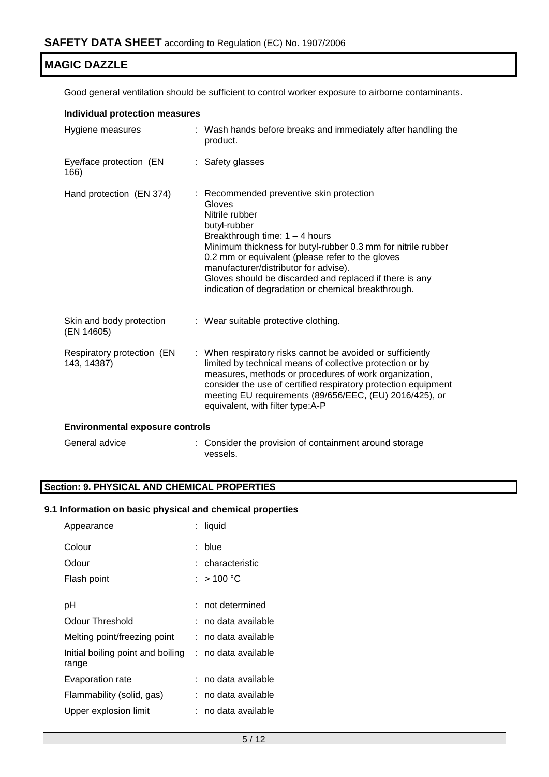Good general ventilation should be sufficient to control worker exposure to airborne contaminants.

| <b>Individual protection measures</b>     |  |                                                                                                                                                                                                                                                                                                                                                                                                         |  |  |  |
|-------------------------------------------|--|---------------------------------------------------------------------------------------------------------------------------------------------------------------------------------------------------------------------------------------------------------------------------------------------------------------------------------------------------------------------------------------------------------|--|--|--|
| Hygiene measures                          |  | : Wash hands before breaks and immediately after handling the<br>product.                                                                                                                                                                                                                                                                                                                               |  |  |  |
| Eye/face protection (EN<br>166)           |  | : Safety glasses                                                                                                                                                                                                                                                                                                                                                                                        |  |  |  |
| Hand protection (EN 374)                  |  | : Recommended preventive skin protection<br>Gloves<br>Nitrile rubber<br>butyl-rubber<br>Breakthrough time: $1 - 4$ hours<br>Minimum thickness for butyl-rubber 0.3 mm for nitrile rubber<br>0.2 mm or equivalent (please refer to the gloves<br>manufacturer/distributor for advise).<br>Gloves should be discarded and replaced if there is any<br>indication of degradation or chemical breakthrough. |  |  |  |
| Skin and body protection<br>(EN 14605)    |  | : Wear suitable protective clothing.                                                                                                                                                                                                                                                                                                                                                                    |  |  |  |
| Respiratory protection (EN<br>143, 14387) |  | : When respiratory risks cannot be avoided or sufficiently<br>limited by technical means of collective protection or by<br>measures, methods or procedures of work organization,<br>consider the use of certified respiratory protection equipment<br>meeting EU requirements (89/656/EEC, (EU) 2016/425), or<br>equivalent, with filter type:A-P                                                       |  |  |  |
| <b>Environmental exposure controls</b>    |  |                                                                                                                                                                                                                                                                                                                                                                                                         |  |  |  |
| General advice                            |  | : Consider the provision of containment around storage<br>vessels.                                                                                                                                                                                                                                                                                                                                      |  |  |  |

# **Section: 9. PHYSICAL AND CHEMICAL PROPERTIES**

## **9.1 Information on basic physical and chemical properties**

| Appearance                                                     | liquid              |
|----------------------------------------------------------------|---------------------|
| Colour                                                         | blue                |
| Odour                                                          | : characteristic    |
| Flash point                                                    | : $>$ 100 °C        |
|                                                                |                     |
| рH                                                             | $:$ not determined  |
| Odour Threshold                                                | ∶no data available  |
| Melting point/freezing point                                   | : no data available |
| Initial boiling point and boiling : no data available<br>range |                     |
| Evaporation rate                                               | ∶no data available  |
| Flammability (solid, gas)                                      | no data available   |
| Upper explosion limit                                          | no data available   |
|                                                                |                     |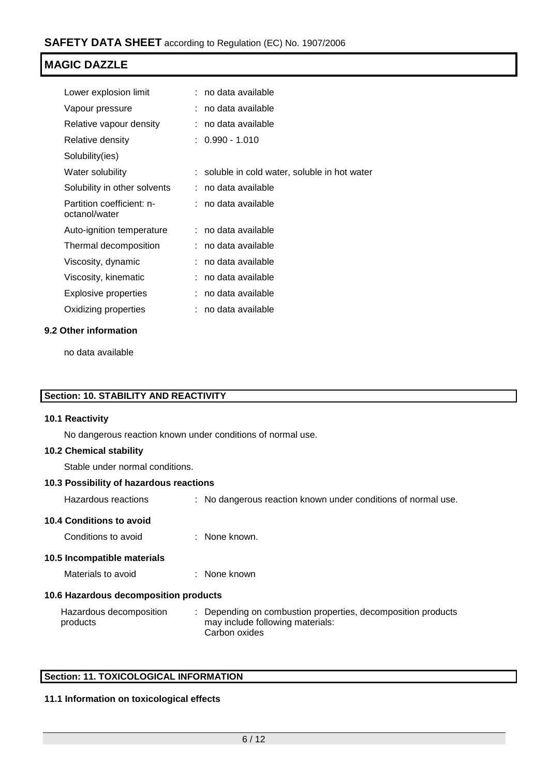| Lower explosion limit                      | no data available                             |
|--------------------------------------------|-----------------------------------------------|
| Vapour pressure                            | no data available                             |
| Relative vapour density                    | no data available                             |
| Relative density                           | $: 0.990 - 1.010$                             |
| Solubility(ies)                            |                                               |
| Water solubility                           | : soluble in cold water, soluble in hot water |
| Solubility in other solvents               | no data available                             |
| Partition coefficient: n-<br>octanol/water | : no data available                           |
| Auto-ignition temperature                  | : no data available                           |
| Thermal decomposition                      | no data available                             |
| Viscosity, dynamic                         | no data available                             |
| Viscosity, kinematic                       | no data available                             |
| Explosive properties                       | no data available                             |
| Oxidizing properties                       | no data available                             |

## **9.2 Other information**

no data available

# **Section: 10. STABILITY AND REACTIVITY**

# **10.1 Reactivity**

No dangerous reaction known under conditions of normal use.

# **10.2 Chemical stability**

Stable under normal conditions.

#### **10.3 Possibility of hazardous reactions**

Hazardous reactions : No dangerous reaction known under conditions of normal use.

## **10.4 Conditions to avoid**

Conditions to avoid : None known.

## **10.5 Incompatible materials**

Materials to avoid : None known

## **10.6 Hazardous decomposition products**

| Hazardous decomposition | Depending on combustion properties, decomposition products |
|-------------------------|------------------------------------------------------------|
| products                | may include following materials:                           |
|                         | Carbon oxides                                              |

## **Section: 11. TOXICOLOGICAL INFORMATION**

## **11.1 Information on toxicological effects**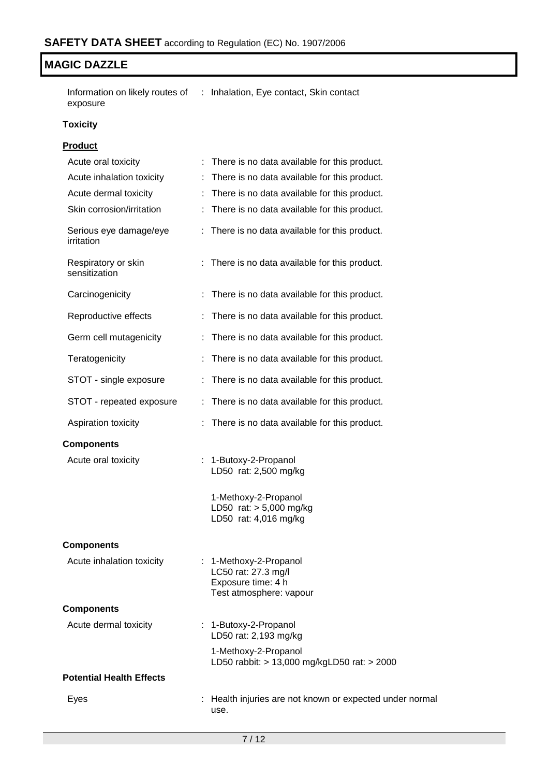Information on likely routes of : Inhalation, Eye contact, Skin contact exposure

## **Toxicity**

# **Product**

| Acute oral toxicity                  | There is no data available for this product.                                                   |
|--------------------------------------|------------------------------------------------------------------------------------------------|
| Acute inhalation toxicity            | There is no data available for this product.<br>÷                                              |
| Acute dermal toxicity                | : There is no data available for this product.                                                 |
| Skin corrosion/irritation            | There is no data available for this product.                                                   |
| Serious eye damage/eye<br>irritation | : There is no data available for this product.                                                 |
| Respiratory or skin<br>sensitization | : There is no data available for this product.                                                 |
| Carcinogenicity                      | There is no data available for this product.                                                   |
| Reproductive effects                 | There is no data available for this product.                                                   |
| Germ cell mutagenicity               | There is no data available for this product.                                                   |
| Teratogenicity                       | There is no data available for this product.                                                   |
| STOT - single exposure               | There is no data available for this product.                                                   |
| STOT - repeated exposure             | There is no data available for this product.                                                   |
| Aspiration toxicity                  | There is no data available for this product.                                                   |
| <b>Components</b>                    |                                                                                                |
| Acute oral toxicity                  | : 1-Butoxy-2-Propanol<br>LD50 rat: 2,500 mg/kg                                                 |
|                                      | 1-Methoxy-2-Propanol<br>LD50 rat: > 5,000 mg/kg<br>LD50 rat: 4,016 mg/kg                       |
| <b>Components</b>                    |                                                                                                |
| Acute inhalation toxicity            | : 1-Methoxy-2-Propanol<br>LC50 rat: 27.3 mg/l<br>Exposure time: 4 h<br>Test atmosphere: vapour |
| <b>Components</b>                    |                                                                                                |
| Acute dermal toxicity                | : 1-Butoxy-2-Propanol<br>LD50 rat: 2,193 mg/kg                                                 |
|                                      | 1-Methoxy-2-Propanol<br>LD50 rabbit: > 13,000 mg/kgLD50 rat: > 2000                            |
| <b>Potential Health Effects</b>      |                                                                                                |
| Eyes                                 | : Health injuries are not known or expected under normal<br>use.                               |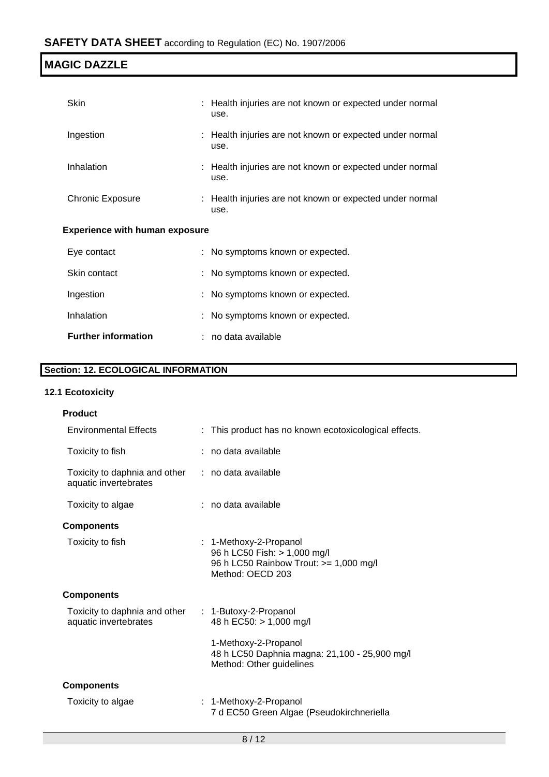| Skin                                  |  | : Health injuries are not known or expected under normal<br>use. |  |
|---------------------------------------|--|------------------------------------------------------------------|--|
| Ingestion                             |  | : Health injuries are not known or expected under normal<br>use. |  |
| Inhalation                            |  | : Health injuries are not known or expected under normal<br>use. |  |
| Chronic Exposure                      |  | : Health injuries are not known or expected under normal<br>use. |  |
| <b>Experience with human exposure</b> |  |                                                                  |  |
| Eye contact                           |  | : No symptoms known or expected.                                 |  |

| Skin contact               | : No symptoms known or expected. |
|----------------------------|----------------------------------|
| Ingestion                  | : No symptoms known or expected. |
| <b>Inhalation</b>          | : No symptoms known or expected. |
| <b>Further information</b> | : no data available              |

# **Section: 12. ECOLOGICAL INFORMATION**

# **12.1 Ecotoxicity**

| <b>Product</b>                                         |                                                                                                                      |
|--------------------------------------------------------|----------------------------------------------------------------------------------------------------------------------|
| <b>Environmental Effects</b>                           | : This product has no known ecotoxicological effects.                                                                |
| Toxicity to fish                                       | : no data available                                                                                                  |
| Toxicity to daphnia and other<br>aquatic invertebrates | : no data available                                                                                                  |
| Toxicity to algae                                      | : no data available                                                                                                  |
| <b>Components</b>                                      |                                                                                                                      |
| Toxicity to fish                                       | : 1-Methoxy-2-Propanol<br>96 h LC50 Fish: > 1,000 mg/l<br>96 h LC50 Rainbow Trout: >= 1,000 mg/l<br>Method: OECD 203 |
| <b>Components</b>                                      |                                                                                                                      |
| Toxicity to daphnia and other<br>aquatic invertebrates | $: 1-Butoxy-2-Propanol$<br>48 h EC50: > 1,000 mg/l                                                                   |
|                                                        | 1-Methoxy-2-Propanol<br>48 h LC50 Daphnia magna: 21,100 - 25,900 mg/l<br>Method: Other guidelines                    |
| <b>Components</b>                                      |                                                                                                                      |
| Toxicity to algae                                      | : 1-Methoxy-2-Propanol<br>7 d EC50 Green Algae (Pseudokirchneriella                                                  |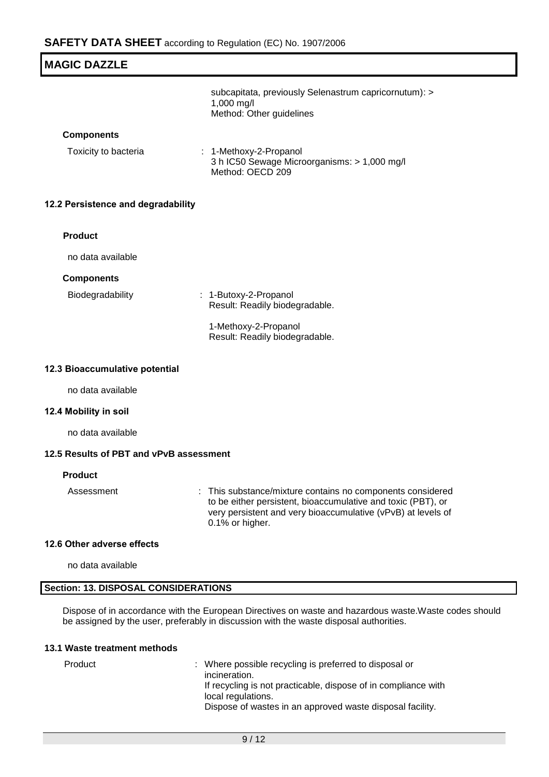| <b>MAGIC DAZZLE</b>                |                                                                                                 |  |  |
|------------------------------------|-------------------------------------------------------------------------------------------------|--|--|
|                                    | subcapitata, previously Selenastrum capricornutum): ><br>1,000 mg/l<br>Method: Other guidelines |  |  |
| <b>Components</b>                  |                                                                                                 |  |  |
| Toxicity to bacteria               | : 1-Methoxy-2-Propanol<br>3 h IC50 Sewage Microorganisms: > 1,000 mg/l<br>Method: OECD 209      |  |  |
| 12.2 Persistence and degradability |                                                                                                 |  |  |
| <b>Product</b>                     |                                                                                                 |  |  |
| no data available                  |                                                                                                 |  |  |
| <b>Components</b>                  |                                                                                                 |  |  |
| Biodegradability                   | : 1-Butoxy-2-Propanol<br>Result: Readily biodegradable.                                         |  |  |
|                                    | 1-Methoxy-2-Propanol<br>Result: Readily biodegradable.                                          |  |  |
| 12.3 Bioaccumulative potential     |                                                                                                 |  |  |

no data available

## **12.4 Mobility in soil**

no data available

# **12.5 Results of PBT and vPvB assessment**

#### **Product**

Assessment : This substance/mixture contains no components considered to be either persistent, bioaccumulative and toxic (PBT), or very persistent and very bioaccumulative (vPvB) at levels of 0.1% or higher.

#### **12.6 Other adverse effects**

no data available

## **Section: 13. DISPOSAL CONSIDERATIONS**

Dispose of in accordance with the European Directives on waste and hazardous waste.Waste codes should be assigned by the user, preferably in discussion with the waste disposal authorities.

#### **13.1 Waste treatment methods**

| Product | : Where possible recycling is preferred to disposal or         |
|---------|----------------------------------------------------------------|
|         | incineration.                                                  |
|         | If recycling is not practicable, dispose of in compliance with |
|         | local regulations.                                             |
|         | Dispose of wastes in an approved waste disposal facility.      |
|         |                                                                |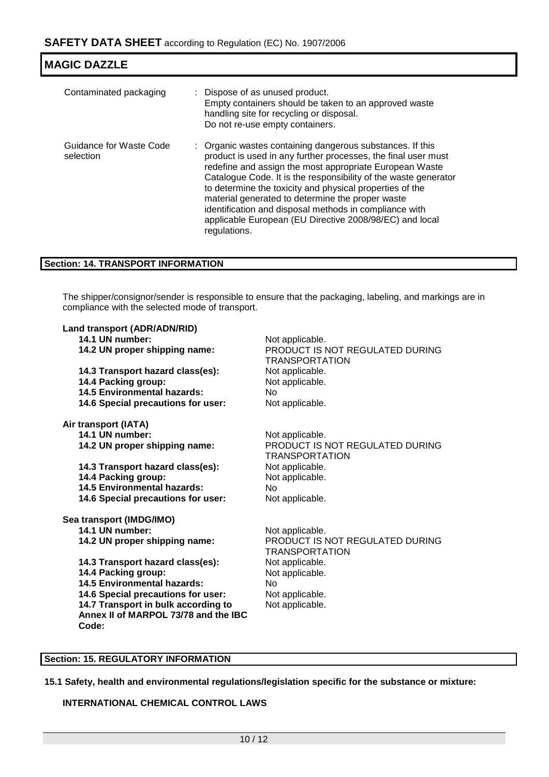| <b>MAGIC DAZZLE</b>                  |                                                                                                                                                                                                                                                                                                                                                                                                                                                                                                               |
|--------------------------------------|---------------------------------------------------------------------------------------------------------------------------------------------------------------------------------------------------------------------------------------------------------------------------------------------------------------------------------------------------------------------------------------------------------------------------------------------------------------------------------------------------------------|
| Contaminated packaging               | : Dispose of as unused product.<br>Empty containers should be taken to an approved waste<br>handling site for recycling or disposal.<br>Do not re-use empty containers.                                                                                                                                                                                                                                                                                                                                       |
| Guidance for Waste Code<br>selection | : Organic wastes containing dangerous substances. If this<br>product is used in any further processes, the final user must<br>redefine and assign the most appropriate European Waste<br>Catalogue Code. It is the responsibility of the waste generator<br>to determine the toxicity and physical properties of the<br>material generated to determine the proper waste<br>identification and disposal methods in compliance with<br>applicable European (EU Directive 2008/98/EC) and local<br>regulations. |

#### **Section: 14. TRANSPORT INFORMATION**

The shipper/consignor/sender is responsible to ensure that the packaging, labeling, and markings are in compliance with the selected mode of transport.

| Land transport (ADR/ADN/RID)                  |                                                          |
|-----------------------------------------------|----------------------------------------------------------|
| 14.1 UN number:                               | Not applicable.                                          |
| 14.2 UN proper shipping name:                 | PRODUCT IS NOT REGULATED DURING<br><b>TRANSPORTATION</b> |
| 14.3 Transport hazard class(es):              | Not applicable.                                          |
| 14.4 Packing group:                           | Not applicable.                                          |
| 14.5 Environmental hazards:                   | No.                                                      |
| 14.6 Special precautions for user:            | Not applicable.                                          |
| Air transport (IATA)                          |                                                          |
| 14.1 UN number:                               | Not applicable.                                          |
| 14.2 UN proper shipping name:                 | PRODUCT IS NOT REGULATED DURING<br><b>TRANSPORTATION</b> |
| 14.3 Transport hazard class(es):              | Not applicable.                                          |
| 14.4 Packing group:                           | Not applicable.                                          |
| <b>14.5 Environmental hazards:</b>            | No.                                                      |
| 14.6 Special precautions for user:            | Not applicable.                                          |
| Sea transport (IMDG/IMO)                      |                                                          |
| 14.1 UN number:                               | Not applicable.                                          |
| 14.2 UN proper shipping name:                 | PRODUCT IS NOT REGULATED DURING<br>TRANSPORTATION        |
| 14.3 Transport hazard class(es):              | Not applicable.                                          |
| 14.4 Packing group:                           | Not applicable.                                          |
| <b>14.5 Environmental hazards:</b>            | No                                                       |
| 14.6 Special precautions for user:            | Not applicable.                                          |
| 14.7 Transport in bulk according to           | Not applicable.                                          |
| Annex II of MARPOL 73/78 and the IBC<br>Code: |                                                          |
|                                               |                                                          |

## **Section: 15. REGULATORY INFORMATION**

**15.1 Safety, health and environmental regulations/legislation specific for the substance or mixture:**

# **INTERNATIONAL CHEMICAL CONTROL LAWS**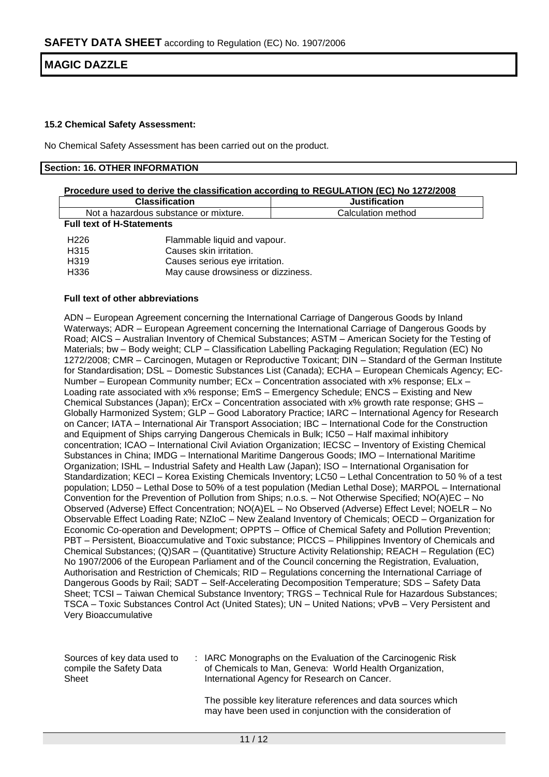#### **15.2 Chemical Safety Assessment:**

No Chemical Safety Assessment has been carried out on the product.

#### **Section: 16. OTHER INFORMATION**

| Procedure used to derive the classification according to REGULATION (EC) No 1272/2008 |                                                         |                      |  |  |  |
|---------------------------------------------------------------------------------------|---------------------------------------------------------|----------------------|--|--|--|
| <b>Classification</b>                                                                 |                                                         | <b>Justification</b> |  |  |  |
| Not a hazardous substance or mixture.                                                 |                                                         | Calculation method   |  |  |  |
| <b>Full text of H-Statements</b>                                                      |                                                         |                      |  |  |  |
| H <sub>226</sub><br>H315                                                              | Flammable liquid and vapour.<br>Causes skin irritation. |                      |  |  |  |

H319 Causes serious eye irritation.

H336 May cause drowsiness or dizziness.

#### **Full text of other abbreviations**

ADN – European Agreement concerning the International Carriage of Dangerous Goods by Inland Waterways; ADR – European Agreement concerning the International Carriage of Dangerous Goods by Road; AICS – Australian Inventory of Chemical Substances; ASTM – American Society for the Testing of Materials; bw – Body weight; CLP – Classification Labelling Packaging Regulation; Regulation (EC) No 1272/2008; CMR – Carcinogen, Mutagen or Reproductive Toxicant; DIN – Standard of the German Institute for Standardisation; DSL – Domestic Substances List (Canada); ECHA – European Chemicals Agency; EC-Number – European Community number; ECx – Concentration associated with x% response; ELx – Loading rate associated with x% response; EmS – Emergency Schedule; ENCS – Existing and New Chemical Substances (Japan); ErCx – Concentration associated with x% growth rate response; GHS – Globally Harmonized System; GLP – Good Laboratory Practice; IARC – International Agency for Research on Cancer; IATA – International Air Transport Association; IBC – International Code for the Construction and Equipment of Ships carrying Dangerous Chemicals in Bulk; IC50 – Half maximal inhibitory concentration; ICAO – International Civil Aviation Organization; IECSC – Inventory of Existing Chemical Substances in China; IMDG – International Maritime Dangerous Goods; IMO – International Maritime Organization; ISHL – Industrial Safety and Health Law (Japan); ISO – International Organisation for Standardization; KECI – Korea Existing Chemicals Inventory; LC50 – Lethal Concentration to 50 % of a test population; LD50 – Lethal Dose to 50% of a test population (Median Lethal Dose); MARPOL – International Convention for the Prevention of Pollution from Ships; n.o.s. – Not Otherwise Specified; NO(A)EC – No Observed (Adverse) Effect Concentration; NO(A)EL – No Observed (Adverse) Effect Level; NOELR – No Observable Effect Loading Rate; NZIoC – New Zealand Inventory of Chemicals; OECD – Organization for Economic Co-operation and Development; OPPTS – Office of Chemical Safety and Pollution Prevention; PBT – Persistent, Bioaccumulative and Toxic substance; PICCS – Philippines Inventory of Chemicals and Chemical Substances; (Q)SAR – (Quantitative) Structure Activity Relationship; REACH – Regulation (EC) No 1907/2006 of the European Parliament and of the Council concerning the Registration, Evaluation, Authorisation and Restriction of Chemicals; RID – Regulations concerning the International Carriage of Dangerous Goods by Rail; SADT – Self-Accelerating Decomposition Temperature; SDS – Safety Data Sheet; TCSI – Taiwan Chemical Substance Inventory; TRGS – Technical Rule for Hazardous Substances; TSCA – Toxic Substances Control Act (United States); UN – United Nations; vPvB – Very Persistent and Very Bioaccumulative

| Sources of key data used to<br>compile the Safety Data<br>Sheet | : IARC Monographs on the Evaluation of the Carcinogenic Risk<br>of Chemicals to Man, Geneva: World Health Organization,<br>International Agency for Research on Cancer. |
|-----------------------------------------------------------------|-------------------------------------------------------------------------------------------------------------------------------------------------------------------------|
|                                                                 |                                                                                                                                                                         |

The possible key literature references and data sources which may have been used in conjunction with the consideration of